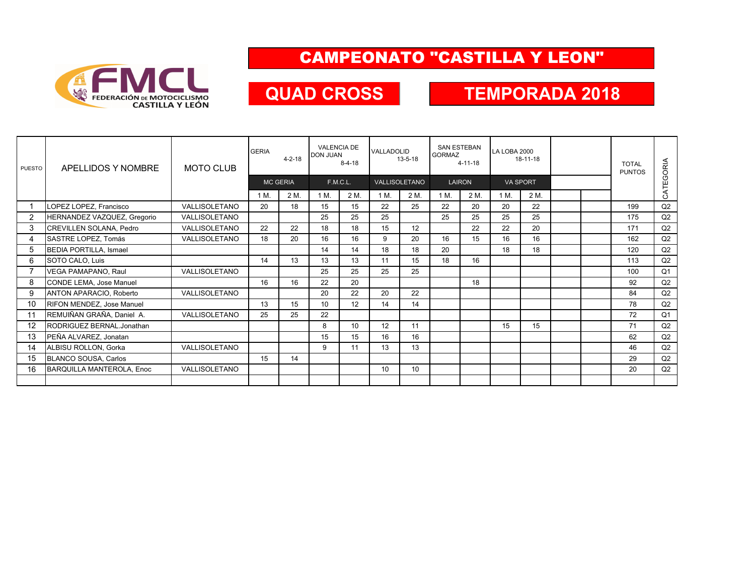

### CAMPEONATO "CASTILLA Y LEON"

## **QUAD CROSS**

### **TEMPORADA 2018**

| PUESTO | APELLIDOS Y NOMBRE               | <b>MOTO CLUB</b> | <b>GERIA</b>    | $4 - 2 - 18$ | <b>VALENCIA DE</b><br><b>DON JUAN</b><br>$8 - 4 - 18$ |      | VALLADOLID<br>$13 - 5 - 18$ |      | <b>SAN ESTEBAN</b><br><b>GORMAZ</b><br>$4 - 11 - 18$ |      | LA LOBA 2000<br>18-11-18 |      |  |  | <b>TOTAL</b><br><b>PUNTOS</b> | CATEGORIA      |
|--------|----------------------------------|------------------|-----------------|--------------|-------------------------------------------------------|------|-----------------------------|------|------------------------------------------------------|------|--------------------------|------|--|--|-------------------------------|----------------|
|        |                                  |                  | <b>MC GERIA</b> |              | F.M.C.L.                                              |      | VALLISOLETANO               |      | <b>LAIRON</b>                                        |      | <b>VA SPORT</b>          |      |  |  |                               |                |
|        |                                  |                  | 1 M.            | 2 M.         | 1 M.                                                  | 2 M. | 1 M.                        | 2 M. | 1 M.                                                 | 2 M. | 1 M.                     | 2 M. |  |  |                               |                |
|        | LOPEZ LOPEZ, Francisco           | VALLISOLETANO    | 20              | 18           | 15                                                    | 15   | 22                          | 25   | 22                                                   | 20   | 20                       | 22   |  |  | 199                           | Q2             |
| 2      | HERNANDEZ VAZQUEZ, Gregorio      | VALLISOLETANO    |                 |              | 25                                                    | 25   | 25                          |      | 25                                                   | 25   | 25                       | 25   |  |  | 175                           | Q2             |
| 3      | CREVILLEN SOLANA, Pedro          | VALLISOLETANO    | 22              | 22           | 18                                                    | 18   | 15                          | 12   |                                                      | 22   | 22                       | 20   |  |  | 171                           | Q2             |
| 4      | SASTRE LOPEZ, Tomás              | VALLISOLETANO    | 18              | 20           | 16                                                    | 16   | 9                           | 20   | 16                                                   | 15   | 16                       | 16   |  |  | 162                           | Q2             |
| 5      | <b>BEDIA PORTILLA, Ismael</b>    |                  |                 |              | 14                                                    | 14   | 18                          | 18   | 20                                                   |      | 18                       | 18   |  |  | 120                           | Q2             |
| 6      | SOTO CALO, Luis                  |                  | 14              | 13           | 13                                                    | 13   | 11                          | 15   | 18                                                   | 16   |                          |      |  |  | 113                           | Q2             |
|        | VEGA PAMAPANO, Raul              | VALLISOLETANO    |                 |              | 25                                                    | 25   | 25                          | 25   |                                                      |      |                          |      |  |  | 100                           | Q <sub>1</sub> |
| 8      | CONDE LEMA, Jose Manuel          |                  | 16              | 16           | 22                                                    | 20   |                             |      |                                                      | 18   |                          |      |  |  | 92                            | Q2             |
| 9      | <b>ANTON APARACIO, Roberto</b>   | VALLISOLETANO    |                 |              | 20                                                    | 22   | 20                          | 22   |                                                      |      |                          |      |  |  | 84                            | Q2             |
| 10     | <b>RIFON MENDEZ, Jose Manuel</b> |                  | 13              | 15           | 10                                                    | 12   | 14                          | 14   |                                                      |      |                          |      |  |  | 78                            | Q2             |
| 11     | REMUIÑAN GRAÑA, Daniel A.        | VALLISOLETANO    | 25              | 25           | 22                                                    |      |                             |      |                                                      |      |                          |      |  |  | 72                            | Q <sub>1</sub> |
| 12     | RODRIGUEZ BERNAL.Jonathan        |                  |                 |              | 8                                                     | 10   | 12                          | 11   |                                                      |      | 15                       | 15   |  |  | 71                            | Q2             |
| 13     | PEÑA ALVAREZ, Jonatan            |                  |                 |              | 15                                                    | 15   | 16                          | 16   |                                                      |      |                          |      |  |  | 62                            | Q2             |
| 14     | ALBISU ROLLON, Gorka             | VALLISOLETANO    |                 |              | 9                                                     | 11   | 13                          | 13   |                                                      |      |                          |      |  |  | 46                            | Q2             |
| 15     | BLANCO SOUSA, Carlos             |                  | 15              | 14           |                                                       |      |                             |      |                                                      |      |                          |      |  |  | 29                            | Q2             |
| 16     | <b>BARQUILLA MANTEROLA, Enoc</b> | VALLISOLETANO    |                 |              |                                                       |      | 10                          | 10   |                                                      |      |                          |      |  |  | 20                            | Q2             |
|        |                                  |                  |                 |              |                                                       |      |                             |      |                                                      |      |                          |      |  |  |                               |                |